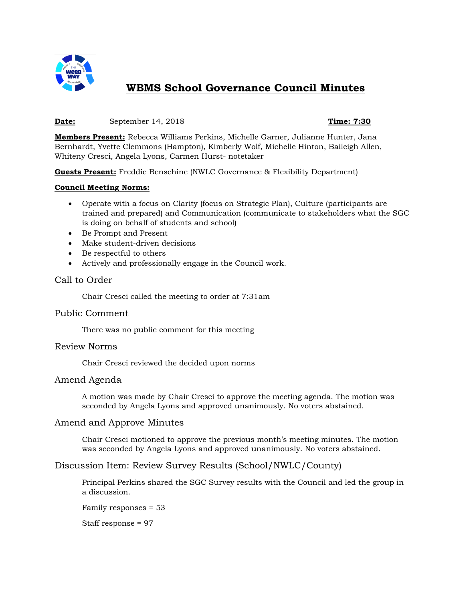

# **WBMS School Governance Council Minutes**

#### **Date:** September 14, 2018 **Time: 7:30**

**Members Present:** Rebecca Williams Perkins, Michelle Garner, Julianne Hunter, Jana Bernhardt, Yvette Clemmons (Hampton), Kimberly Wolf, Michelle Hinton, Baileigh Allen, Whiteny Cresci, Angela Lyons, Carmen Hurst- notetaker

**Guests Present:** Freddie Benschine (NWLC Governance & Flexibility Department)

#### **Council Meeting Norms:**

- Operate with a focus on Clarity (focus on Strategic Plan), Culture (participants are trained and prepared) and Communication (communicate to stakeholders what the SGC is doing on behalf of students and school)
- Be Prompt and Present
- Make student-driven decisions
- Be respectful to others
- Actively and professionally engage in the Council work.

### Call to Order

Chair Cresci called the meeting to order at 7:31am

#### Public Comment

There was no public comment for this meeting

#### Review Norms

Chair Cresci reviewed the decided upon norms

#### Amend Agenda

A motion was made by Chair Cresci to approve the meeting agenda. The motion was seconded by Angela Lyons and approved unanimously. No voters abstained.

#### Amend and Approve Minutes

Chair Cresci motioned to approve the previous month's meeting minutes. The motion was seconded by Angela Lyons and approved unanimously. No voters abstained.

# Discussion Item: Review Survey Results (School/NWLC/County)

Principal Perkins shared the SGC Survey results with the Council and led the group in a discussion.

Family responses = 53

Staff response = 97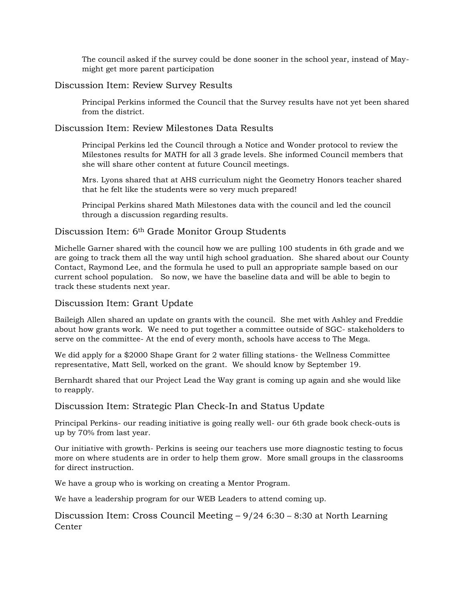The council asked if the survey could be done sooner in the school year, instead of Maymight get more parent participation

# Discussion Item: Review Survey Results

Principal Perkins informed the Council that the Survey results have not yet been shared from the district.

# Discussion Item: Review Milestones Data Results

Principal Perkins led the Council through a Notice and Wonder protocol to review the Milestones results for MATH for all 3 grade levels. She informed Council members that she will share other content at future Council meetings.

Mrs. Lyons shared that at AHS curriculum night the Geometry Honors teacher shared that he felt like the students were so very much prepared!

Principal Perkins shared Math Milestones data with the council and led the council through a discussion regarding results.

# Discussion Item: 6th Grade Monitor Group Students

Michelle Garner shared with the council how we are pulling 100 students in 6th grade and we are going to track them all the way until high school graduation. She shared about our County Contact, Raymond Lee, and the formula he used to pull an appropriate sample based on our current school population. So now, we have the baseline data and will be able to begin to track these students next year.

### Discussion Item: Grant Update

Baileigh Allen shared an update on grants with the council. She met with Ashley and Freddie about how grants work. We need to put together a committee outside of SGC- stakeholders to serve on the committee- At the end of every month, schools have access to The Mega.

We did apply for a \$2000 Shape Grant for 2 water filling stations- the Wellness Committee representative, Matt Sell, worked on the grant. We should know by September 19.

Bernhardt shared that our Project Lead the Way grant is coming up again and she would like to reapply.

#### Discussion Item: Strategic Plan Check-In and Status Update

Principal Perkins- our reading initiative is going really well- our 6th grade book check-outs is up by 70% from last year.

Our initiative with growth- Perkins is seeing our teachers use more diagnostic testing to focus more on where students are in order to help them grow. More small groups in the classrooms for direct instruction.

We have a group who is working on creating a Mentor Program.

We have a leadership program for our WEB Leaders to attend coming up.

Discussion Item: Cross Council Meeting – 9/24 6:30 – 8:30 at North Learning Center